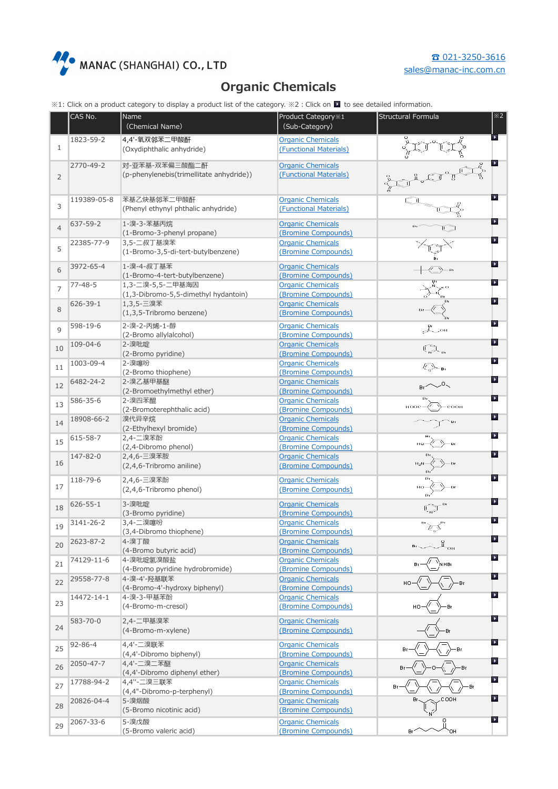

## **Organic Chemicals**

※1: Click on a product category to display a product list of the category. ※2:Click on to see detailed information.

|                | CAS No.        | Name                                             | Product Category %1                             | Structural Formula                                                               | $\overline{\times 2}$    |
|----------------|----------------|--------------------------------------------------|-------------------------------------------------|----------------------------------------------------------------------------------|--------------------------|
|                |                | (Chemical Name)                                  | (Sub-Category)                                  |                                                                                  |                          |
|                | 1823-59-2      | 4,4'-氧双邻苯二甲酸酐                                    | <b>Organic Chemicals</b>                        |                                                                                  |                          |
| $\mathbf{1}$   |                | (Oxydiphthalic anhydride)                        | (Functional Materials)                          |                                                                                  |                          |
|                |                |                                                  |                                                 |                                                                                  |                          |
|                | 2770-49-2      | 对-亚苯基-双苯偏三酸酯二酐                                   | <b>Organic Chemicals</b>                        |                                                                                  | P.                       |
| 2              |                | (p-phenylenebis(trimellitate anhydride))         | (Functional Materials)                          |                                                                                  |                          |
|                |                |                                                  |                                                 |                                                                                  |                          |
|                | 119389-05-8    | 苯基乙炔基邻苯二甲酸酐                                      | <b>Organic Chemicals</b>                        |                                                                                  |                          |
| 3              |                | (Phenyl ethynyl phthalic anhydride)              | (Functional Materials)                          |                                                                                  |                          |
|                |                |                                                  |                                                 |                                                                                  |                          |
| $\overline{4}$ | 637-59-2       | 1-溴-3-苯基丙烷                                       | <b>Organic Chemicals</b>                        |                                                                                  |                          |
|                |                | (1-Bromo-3-phenyl propane)                       | (Bromine Compounds)                             |                                                                                  | D                        |
| 5              | 22385-77-9     | 3,5-二叔丁基溴苯<br>(1-Bromo-3,5-di-tert-butylbenzene) | <b>Organic Chemicals</b><br>(Bromine Compounds) |                                                                                  |                          |
|                |                |                                                  |                                                 |                                                                                  |                          |
| 6              | 3972-65-4      | 1-溴-4-叔丁基苯                                       | <b>Organic Chemicals</b>                        |                                                                                  | $\blacktriangleright$    |
|                |                | (1-Bromo-4-tert-butylbenzene)                    | (Bromine Compounds)                             |                                                                                  |                          |
| $\overline{7}$ | $77 - 48 - 5$  | 1,3-二溴-5,5-二甲基海因                                 | <b>Organic Chemicals</b>                        |                                                                                  | ×                        |
|                |                | (1,3-Dibromo-5,5-dimethyl hydantoin)             | (Bromine Compounds)                             |                                                                                  | $\blacktriangleright$    |
| 8              | 626-39-1       | 1,3,5-三溴苯<br>(1,3,5-Tribromo benzene)            | <b>Organic Chemicals</b>                        |                                                                                  |                          |
|                |                |                                                  | (Bromine Compounds)                             |                                                                                  |                          |
| $\mathsf{Q}$   | 598-19-6       | 2-溴-2-丙烯-1-醇                                     | <b>Organic Chemicals</b>                        |                                                                                  | $\blacktriangleright$    |
|                |                | (2-Bromo allylalcohol)                           | (Bromine Compounds)                             |                                                                                  | $\overline{\phantom{a}}$ |
| 10             | 109-04-6       | 2-溴吡啶                                            | <b>Organic Chemicals</b>                        | $\mathbb{Q}_n$                                                                   |                          |
|                |                | (2-Bromo pyridine)                               | (Bromine Compounds)                             |                                                                                  | $\blacktriangleright$    |
| 11             | 1003-09-4      | 2-溴噻吩<br>(2-Bromo thiophene)                     | <b>Organic Chemicals</b><br>(Bromine Compounds) |                                                                                  |                          |
|                | 6482-24-2      | 2-溴乙基甲基醚                                         | <b>Organic Chemicals</b>                        |                                                                                  | $\blacktriangleright$    |
| 12             |                | (2-Bromoethylmethyl ether)                       | (Bromine Compounds)                             | $\sim$ 0 $\sim$                                                                  |                          |
|                | 586-35-6       | 2-溴四苯醌                                           | <b>Organic Chemicals</b>                        |                                                                                  |                          |
| 13             |                | (2-Bromoterephthalic acid)                       | (Bromine Compounds)                             | соон<br><b>HOOC</b>                                                              |                          |
|                | 18908-66-2     | 溴代异辛烷                                            | <b>Organic Chemicals</b>                        |                                                                                  | $\blacktriangleright$    |
| 14             |                | (2-Ethylhexyl bromide)                           | (Bromine Compounds)                             |                                                                                  |                          |
| 15             | 615-58-7       | 2,4-二溴苯酚                                         | <b>Organic Chemicals</b>                        |                                                                                  | $\blacktriangleright$    |
|                |                | (2,4-Dibromo phenol)                             | (Bromine Compounds)                             |                                                                                  |                          |
| 16             | 147-82-0       | 2,4,6-三溴苯胺                                       | <b>Organic Chemicals</b>                        |                                                                                  | $\blacktriangleright$    |
|                |                | (2,4,6-Tribromo aniline)                         | (Bromine Compounds)                             |                                                                                  |                          |
|                | 118-79-6       | 2,4,6-三溴苯酚                                       | <b>Organic Chemicals</b>                        |                                                                                  | $\blacktriangleright$    |
| 17             |                | (2,4,6-Tribromo phenol)                          | (Bromine Compounds)                             |                                                                                  |                          |
|                | $626 - 55 - 1$ | 3-溴吡啶                                            | <b>Organic Chemicals</b>                        |                                                                                  | $\blacktriangleright$    |
| 18             |                | (3-Bromo pyridine)                               | (Bromine Compounds)                             |                                                                                  |                          |
|                | 3141-26-2      | 3,4-二溴噻吩                                         | <b>Organic Chemicals</b>                        |                                                                                  | $\blacktriangleright$    |
| 19             |                | (3,4-Dibromo thiophene)                          | (Bromine Compounds)                             | চ≦                                                                               |                          |
|                | 2623-87-2      | 4-溴丁酸                                            | <b>Organic Chemicals</b>                        | $\stackrel{\scriptscriptstyle{0}}{\mathbb{L}}_{\scriptscriptstyle{\mathrm{OH}}}$ | $\blacktriangleright$    |
| 20             |                | (4-Bromo butyric acid)                           | (Bromine Compounds)                             |                                                                                  |                          |
| 21             | 74129-11-6     | 4-溴吡啶氢溴酸盐                                        | <b>Organic Chemicals</b>                        |                                                                                  | $\blacktriangleright$    |
|                |                | (4-Bromo pyridine hydrobromide)                  | (Bromine Compounds)                             |                                                                                  |                          |
| 22             | 29558-77-8     | 4-溴-4'-羟基联苯                                      | <b>Organic Chemicals</b>                        | θr                                                                               | $\blacktriangleright$    |
|                |                | (4-Bromo-4'-hydroxy biphenyl)                    | (Bromine Compounds)                             |                                                                                  | $\blacktriangleright$    |
| 23             | 14472-14-1     | 4-溴-3-甲基苯酚                                       | <b>Organic Chemicals</b>                        |                                                                                  |                          |
|                |                | (4-Bromo-m-cresol)                               | (Bromine Compounds)                             |                                                                                  |                          |
|                | 583-70-0       | 2,4-二甲基溴苯                                        | <b>Organic Chemicals</b>                        |                                                                                  | ×                        |
| 24             |                | (4-Bromo-m-xylene)                               | (Bromine Compounds)                             |                                                                                  |                          |
|                | $92 - 86 - 4$  | 4,4'-二溴联苯                                        | <b>Organic Chemicals</b>                        |                                                                                  | $\blacktriangleright$    |
| 25             |                | (4,4'-Dibromo biphenyl)                          | (Bromine Compounds)                             |                                                                                  |                          |
|                | 2050-47-7      | 4,4'-二溴二苯醚                                       | <b>Organic Chemicals</b>                        |                                                                                  | $\blacktriangleright$    |
| 26             |                | (4,4'-Dibromo diphenyl ether)                    | (Bromine Compounds)                             |                                                                                  |                          |
| 27             | 17788-94-2     | 4,4"-二溴三联苯                                       | <b>Organic Chemicals</b>                        |                                                                                  | $\blacktriangleright$    |
|                |                | (4,4"-Dibromo-p-terphenyl)                       | (Bromine Compounds)                             |                                                                                  |                          |
| 28             | 20826-04-4     | 5-溴烟酸                                            | <b>Organic Chemicals</b>                        |                                                                                  | $\blacktriangleright$    |
|                |                | (5-Bromo nicotinic acid)                         | (Bromine Compounds)                             |                                                                                  |                          |
| 29             | 2067-33-6      | 5-溴戊酸                                            | <b>Organic Chemicals</b>                        |                                                                                  | $\blacktriangleright$    |
|                |                | (5-Bromo valeric acid)                           | (Bromine Compounds)                             | ЮH                                                                               |                          |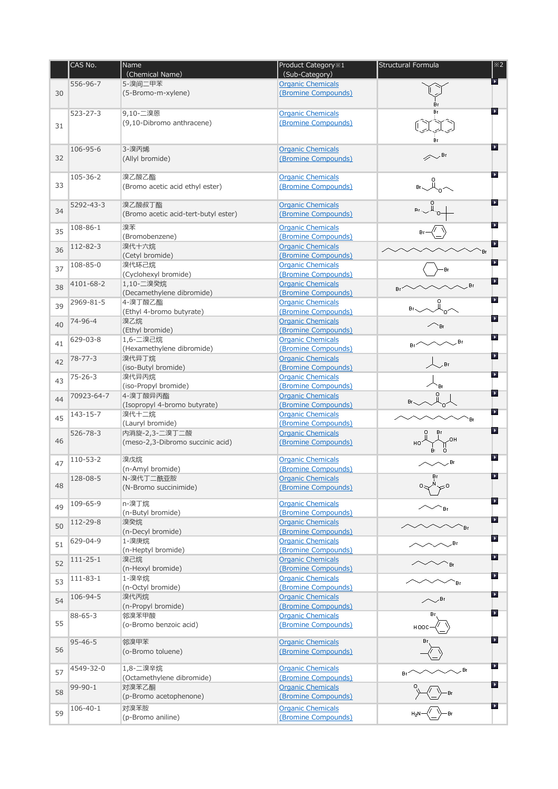|    | CAS No.        | Name                                     | Product Category %1<br>(Sub-Category)           | Structural Formula | $\overline{\times 2}$ |
|----|----------------|------------------------------------------|-------------------------------------------------|--------------------|-----------------------|
|    | 556-96-7       | (Chemical Name)<br>5-溴间二甲苯               | <b>Organic Chemicals</b>                        |                    | $\blacktriangleright$ |
| 30 |                | (5-Bromo-m-xylene)                       | (Bromine Compounds)                             |                    |                       |
|    |                |                                          |                                                 |                    |                       |
|    | $523 - 27 - 3$ | 9,10-二溴蒽                                 | <b>Organic Chemicals</b>                        |                    | $\blacktriangleright$ |
| 31 |                | (9,10-Dibromo anthracene)                | (Bromine Compounds)                             |                    |                       |
|    |                |                                          |                                                 |                    |                       |
|    |                |                                          |                                                 |                    | À                     |
| 32 | 106-95-6       | 3-溴丙烯<br>(Allyl bromide)                 | <b>Organic Chemicals</b>                        | , Br               |                       |
|    |                |                                          | (Bromine Compounds)                             |                    |                       |
|    | 105-36-2       | 溴乙酸乙酯                                    | <b>Organic Chemicals</b>                        |                    | P.                    |
| 33 |                | (Bromo acetic acid ethyl ester)          | (Bromine Compounds)                             |                    |                       |
|    |                |                                          |                                                 |                    |                       |
| 34 | 5292-43-3      | 溴乙酸叔丁酯                                   | <b>Organic Chemicals</b>                        |                    | $\blacktriangleright$ |
|    |                | (Bromo acetic acid-tert-butyl ester)     | (Bromine Compounds)                             |                    |                       |
| 35 | 108-86-1       | 溴苯                                       | <b>Organic Chemicals</b>                        |                    | ٠                     |
|    |                | (Bromobenzene)                           | (Bromine Compounds)                             |                    | P.                    |
| 36 | 112-82-3       | 溴代十六烷                                    | <b>Organic Chemicals</b>                        | Br                 |                       |
|    | 108-85-0       | (Cetyl bromide)<br>溴代环己烷                 | (Bromine Compounds)<br><b>Organic Chemicals</b> |                    | $\blacktriangleright$ |
| 37 |                | (Cyclohexyl bromide)                     | (Bromine Compounds)                             |                    |                       |
|    | 4101-68-2      | 1,10-二溴癸烷                                | <b>Organic Chemicals</b>                        | Bτ                 | ×                     |
| 38 |                | (Decamethylene dibromide)                | (Bromine Compounds)                             |                    |                       |
| 39 | 2969-81-5      | 4-溴丁酸乙酯                                  | <b>Organic Chemicals</b>                        |                    | $\blacktriangleright$ |
|    |                | (Ethyl 4-bromo butyrate)                 | (Bromine Compounds)                             |                    | $\blacktriangleright$ |
| 40 | 74-96-4        | 溴乙烷                                      | <b>Organic Chemicals</b><br>(Bromine Compounds) |                    |                       |
|    | 629-03-8       | (Ethyl bromide)<br>1,6-二溴己烷              | <b>Organic Chemicals</b>                        |                    | $\blacktriangleright$ |
| 41 |                | (Hexamethylene dibromide)                | (Bromine Compounds)                             | Βr                 |                       |
| 42 | $78 - 77 - 3$  | 溴代异丁烷                                    | <b>Organic Chemicals</b>                        |                    | $\blacktriangleright$ |
|    |                | (iso-Butyl bromide)                      | (Bromine Compounds)                             | . Br               |                       |
| 43 | $75 - 26 - 3$  | 溴代异丙烷                                    | <b>Organic Chemicals</b>                        |                    | $\blacktriangleright$ |
|    |                | (iso-Propyl bromide)                     | (Bromine Compounds)                             |                    | $\blacktriangleright$ |
| 44 | 70923-64-7     | 4-溴丁酸异丙酯<br>(Isopropyl 4-bromo butyrate) | <b>Organic Chemicals</b><br>(Bromine Compounds) |                    |                       |
|    | 143-15-7       | 溴代十二烷                                    | <b>Organic Chemicals</b>                        |                    | P.                    |
| 45 |                | (Lauryl bromide)                         | (Bromine Compounds)                             | `Br                |                       |
|    | $526 - 78 - 3$ | 内消旋-2,3-二溴丁二酸                            | <b>Organic Chemicals</b>                        |                    | ٠                     |
| 46 |                | (meso-2,3-Dibromo succinic acid)         | (Bromine Compounds)                             |                    |                       |
|    | 110-53-2       | 溴戊烷                                      | <b>Organic Chemicals</b>                        |                    | P.                    |
| 47 |                | (n-Amyl bromide)                         | (Bromine Compounds)                             | , Br               |                       |
|    | 128-08-5       | N-溴代丁二酰亚胺                                | Organic Chemicals                               | Bη                 | ٠                     |
| 48 |                | (N-Bromo succinimide)                    | (Bromine Compounds)                             |                    |                       |
|    |                |                                          |                                                 |                    | $\blacktriangleright$ |
| 49 | 109-65-9       | n-溴丁烷<br>(n-Butyl bromide)               | <b>Organic Chemicals</b><br>(Bromine Compounds) | ΈBη                |                       |
|    | 112-29-8       | 溴癸烷                                      | <b>Organic Chemicals</b>                        |                    | $\blacktriangleright$ |
| 50 |                | (n-Decyl bromide)                        | (Bromine Compounds)                             | ΈF                 |                       |
| 51 | 629-04-9       | 1-溴庚烷                                    | <b>Organic Chemicals</b>                        |                    | $\blacktriangleright$ |
|    |                | (n-Heptyl bromide)                       | (Bromine Compounds)                             |                    | $\blacktriangleright$ |
| 52 | $111 - 25 - 1$ | 溴己烷<br>(n-Hexyl bromide)                 | <b>Organic Chemicals</b><br>(Bromine Compounds) |                    |                       |
|    | $111 - 83 - 1$ | 1-溴辛烷                                    | <b>Organic Chemicals</b>                        |                    | $\blacktriangleright$ |
| 53 |                | (n-Octyl bromide)                        | (Bromine Compounds)                             | ΈF.                |                       |
| 54 | 106-94-5       | 溴代丙烷                                     | <b>Organic Chemicals</b>                        | ∕ Ar               | $\blacktriangleright$ |
|    |                | (n-Propyl bromide)                       | (Bromine Compounds)                             |                    |                       |
| 55 | $88 - 65 - 3$  | 邻溴苯甲酸                                    | <b>Organic Chemicals</b>                        | θr                 | $\blacktriangleright$ |
|    |                | (o-Bromo benzoic acid)                   | (Bromine Compounds)                             |                    |                       |
|    | $95 - 46 - 5$  | 邻溴甲苯                                     | <b>Organic Chemicals</b>                        |                    | $\blacktriangleright$ |
| 56 |                | (o-Bromo toluene)                        | (Bromine Compounds)                             |                    |                       |
|    |                |                                          |                                                 |                    | $\blacktriangleright$ |
| 57 | 4549-32-0      | 1,8-二溴辛烷<br>(Octamethylene dibromide)    | <b>Organic Chemicals</b><br>(Bromine Compounds) | . Br               |                       |
|    | 99-90-1        | 对溴苯乙酮                                    | <b>Organic Chemicals</b>                        |                    | $\blacktriangleright$ |
| 58 |                | (p-Bromo acetophenone)                   | (Bromine Compounds)                             |                    |                       |
|    | $106 - 40 - 1$ | 对溴苯胺                                     | <b>Organic Chemicals</b>                        |                    | $\blacktriangleright$ |
| 59 |                | (p-Bromo aniline)                        | (Bromine Compounds)                             |                    |                       |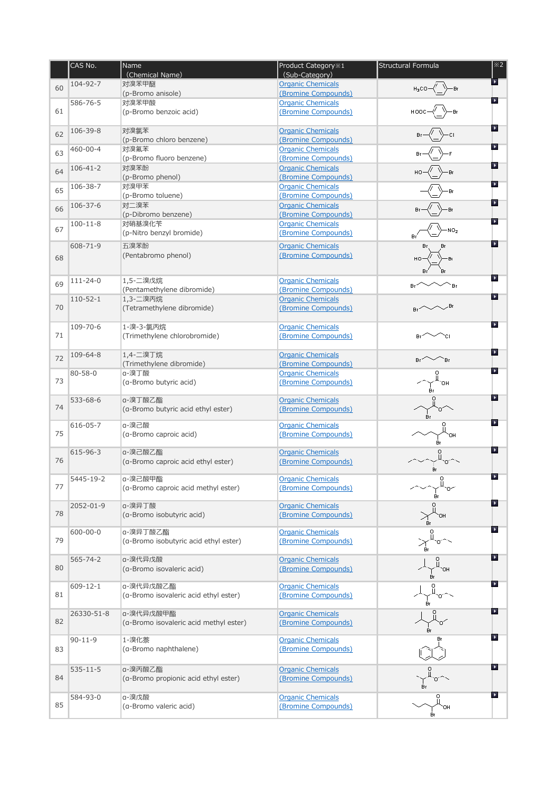|    | CAS No.        | Name                                           | Product Category %1                             | Structural Formula | $\overline{\times 2}$ |
|----|----------------|------------------------------------------------|-------------------------------------------------|--------------------|-----------------------|
|    | 104-92-7       | (Chemical Name)<br>对溴苯甲醚                       | (Sub-Category)<br><b>Organic Chemicals</b>      |                    |                       |
| 60 |                | (p-Bromo anisole)                              | (Bromine Compounds)                             |                    |                       |
|    | 586-76-5       | 对溴苯甲酸                                          | <b>Organic Chemicals</b>                        |                    | $\blacktriangleright$ |
| 61 |                | (p-Bromo benzoic acid)                         | (Bromine Compounds)                             |                    |                       |
|    | 106-39-8       | 对溴氯苯                                           | <b>Organic Chemicals</b>                        |                    | $\blacktriangleright$ |
| 62 |                | (p-Bromo chloro benzene)                       | (Bromine Compounds)                             |                    |                       |
| 63 | 460-00-4       | 对溴氟苯                                           | <b>Organic Chemicals</b>                        |                    |                       |
|    |                | (p-Bromo fluoro benzene)                       | (Bromine Compounds)                             |                    |                       |
| 64 | $106 - 41 - 2$ | 对溴苯酚                                           | <b>Organic Chemicals</b>                        |                    | $\blacktriangleright$ |
|    |                | (p-Bromo phenol)                               | (Bromine Compounds)                             |                    |                       |
| 65 | 106-38-7       | 对溴甲苯                                           | <b>Organic Chemicals</b>                        |                    | $\blacktriangleright$ |
|    |                | (p-Bromo toluene)                              | (Bromine Compounds)                             |                    |                       |
| 66 | 106-37-6       | 对二溴苯<br>(p-Dibromo benzene)                    | <b>Organic Chemicals</b>                        |                    |                       |
|    | $100 - 11 - 8$ | 对硝基溴化苄                                         | (Bromine Compounds)<br><b>Organic Chemicals</b> |                    | $\blacktriangleright$ |
| 67 |                | (p-Nitro benzyl bromide)                       | (Bromine Compounds)                             |                    |                       |
|    |                |                                                |                                                 |                    | $\blacktriangleright$ |
|    | 608-71-9       | 五溴苯酚                                           | <b>Organic Chemicals</b>                        |                    |                       |
| 68 |                | (Pentabromo phenol)                            | (Bromine Compounds)                             |                    |                       |
|    |                |                                                |                                                 |                    |                       |
| 69 | $111 - 24 - 0$ | 1,5-二溴戊烷                                       | <b>Organic Chemicals</b>                        |                    | $\blacktriangleright$ |
|    |                | (Pentamethylene dibromide)                     | (Bromine Compounds)                             |                    |                       |
|    | $110 - 52 - 1$ | 1,3-二溴丙烷                                       | <b>Organic Chemicals</b>                        |                    | $\blacktriangleright$ |
| 70 |                | (Tetramethylene dibromide)                     | (Bromine Compounds)                             |                    |                       |
|    |                |                                                |                                                 |                    | $\blacktriangleright$ |
|    | 109-70-6       | 1-溴-3-氯丙烷                                      | <b>Organic Chemicals</b>                        |                    |                       |
| 71 |                | (Trimethylene chlorobromide)                   | (Bromine Compounds)                             |                    |                       |
|    | 109-64-8       | 1,4-二溴丁烷                                       | <b>Organic Chemicals</b>                        |                    | $\blacktriangleright$ |
| 72 |                | (Trimethylene dibromide)                       | (Bromine Compounds)                             |                    |                       |
|    | $80 - 58 - 0$  | a-溴丁酸                                          | <b>Organic Chemicals</b>                        |                    | $\blacktriangleright$ |
| 73 |                | (a-Bromo butyric acid)                         | (Bromine Compounds)                             |                    |                       |
|    |                |                                                |                                                 |                    |                       |
|    | 533-68-6       | a-溴丁酸乙酯                                        | <b>Organic Chemicals</b>                        |                    | $\blacktriangleright$ |
| 74 |                | (a-Bromo butyric acid ethyl ester)             | (Bromine Compounds)                             | θr                 |                       |
|    | 616-05-7       | a-溴己酸                                          | <b>Organic Chemicals</b>                        |                    |                       |
| 75 |                | (a-Bromo caproic acid)                         | (Bromine Compounds)                             |                    |                       |
|    |                |                                                |                                                 | Βr                 |                       |
|    | 615-96-3       | a-溴己酸乙酯                                        | <b>Organic Chemicals</b>                        |                    | $\blacktriangleright$ |
| 76 |                | (a-Bromo caproic acid ethyl ester)             | (Bromine Compounds)                             |                    |                       |
|    |                |                                                |                                                 | θr                 | ×                     |
| 77 | 5445-19-2      | a-溴己酸甲酯<br>(a-Bromo caproic acid methyl ester) | <b>Organic Chemicals</b><br>(Bromine Compounds) |                    |                       |
|    |                |                                                |                                                 |                    |                       |
|    | 2052-01-9      | a-溴异丁酸                                         | <b>Organic Chemicals</b>                        |                    | $\blacktriangleright$ |
| 78 |                | (a-Bromo isobutyric acid)                      | (Bromine Compounds)                             |                    |                       |
|    |                |                                                |                                                 |                    | $\blacktriangleright$ |
|    | $600 - 00 - 0$ | a-溴异丁酸乙酯                                       | <b>Organic Chemicals</b>                        |                    |                       |
| 79 |                | (a-Bromo isobutyric acid ethyl ester)          | (Bromine Compounds)                             |                    |                       |
|    | $565 - 74 - 2$ | a-溴代异戊酸                                        | <b>Organic Chemicals</b>                        |                    | $\blacktriangleright$ |
| 80 |                | (a-Bromo isovaleric acid)                      | (Bromine Compounds)                             |                    |                       |
|    |                |                                                |                                                 | θr                 |                       |
|    | 609-12-1       | a-溴代异戊酸乙酯                                      | <b>Organic Chemicals</b>                        |                    | $\blacktriangleright$ |
| 81 |                | (a-Bromo isovaleric acid ethyl ester)          | (Bromine Compounds)                             |                    |                       |
|    |                |                                                |                                                 |                    | $\blacktriangleright$ |
| 82 | 26330-51-8     | a-溴代异戊酸甲酯                                      | <b>Organic Chemicals</b>                        |                    |                       |
|    |                | (a-Bromo isovaleric acid methyl ester)         | (Bromine Compounds)                             |                    |                       |
|    | $90 - 11 - 9$  | 1-溴化萘                                          | <b>Organic Chemicals</b>                        |                    | $\blacktriangleright$ |
| 83 |                | (a-Bromo naphthalene)                          | (Bromine Compounds)                             |                    |                       |
|    |                |                                                |                                                 |                    |                       |
|    | $535 - 11 - 5$ | a-溴丙酸乙酯                                        | <b>Organic Chemicals</b>                        |                    | $\blacktriangleright$ |
| 84 |                | (a-Bromo propionic acid ethyl ester)           | (Bromine Compounds)                             |                    |                       |
|    |                |                                                |                                                 |                    |                       |
|    | 584-93-0       | a-溴戊酸                                          | <b>Organic Chemicals</b>                        |                    | $\blacktriangleright$ |
| 85 |                | (a-Bromo valeric acid)                         | (Bromine Compounds)                             | OΗ                 |                       |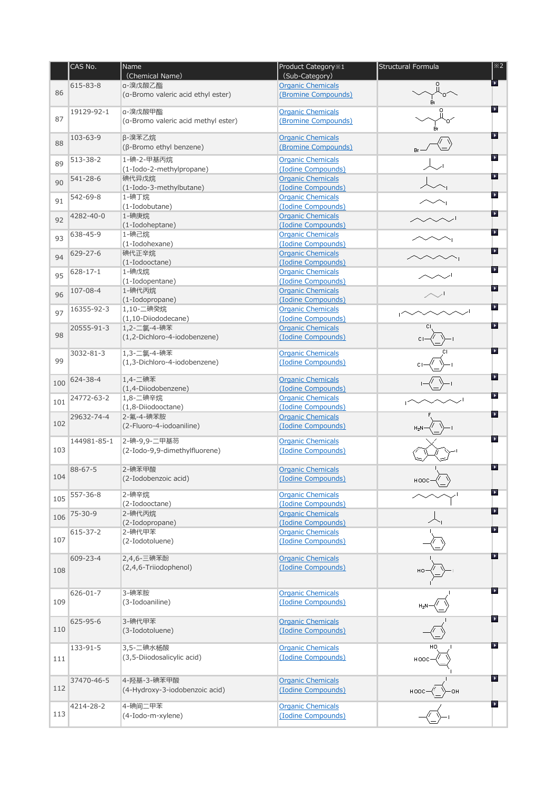|     | CAS No.        | Name<br>(Chemical Name)                        | Product Category %1<br>(Sub-Category)           | Structural Formula | $\overline{\times 2}$    |
|-----|----------------|------------------------------------------------|-------------------------------------------------|--------------------|--------------------------|
| 86  | 615-83-8       | a-溴戊酸乙酯<br>(a-Bromo valeric acid ethyl ester)  | <b>Organic Chemicals</b><br>(Bromine Compounds) |                    |                          |
| 87  | 19129-92-1     | a-溴戊酸甲酯<br>(a-Bromo valeric acid methyl ester) | <b>Organic Chemicals</b><br>(Bromine Compounds) |                    | $\blacktriangleright$    |
| 88  | 103-63-9       | β-溴苯乙烷<br>$(\beta$ -Bromo ethyl benzene)       | <b>Organic Chemicals</b><br>(Bromine Compounds) |                    | A.                       |
| 89  | 513-38-2       | 1-碘-2-甲基丙烷<br>(1-Iodo-2-methylpropane)         | <b>Organic Chemicals</b><br>(Iodine Compounds)  |                    | $\blacktriangleright$    |
| 90  | 541-28-6       | 碘代异戊烷<br>(1-Iodo-3-methylbutane)               | <b>Organic Chemicals</b><br>(Iodine Compounds)  |                    | $\overline{\phantom{a}}$ |
| 91  | 542-69-8       | 1-碘丁烷<br>(1-Iodobutane)                        | <b>Organic Chemicals</b><br>(Iodine Compounds)  |                    | $\blacktriangleright$    |
| 92  | 4282-40-0      | 1-碘庚烷<br>(1-Iodoheptane)                       | <b>Organic Chemicals</b><br>(Iodine Compounds)  |                    | $\blacktriangleright$    |
| 93  | 638-45-9       | 1-碘己烷<br>(1-Iodohexane)                        | <b>Organic Chemicals</b><br>(Iodine Compounds)  |                    | P.                       |
| 94  | 629-27-6       | 碘代正辛烷<br>(1-Iodooctane)                        | <b>Organic Chemicals</b><br>(Iodine Compounds)  |                    | $\blacktriangleright$    |
| 95  | $628 - 17 - 1$ | 1-碘戊烷<br>(1-Iodopentane)                       | <b>Organic Chemicals</b><br>(Iodine Compounds)  |                    | $\blacktriangleright$    |
| 96  | 107-08-4       | 1-碘代丙烷<br>(1-Iodopropane)                      | <b>Organic Chemicals</b><br>(Iodine Compounds)  |                    | $\blacktriangleright$    |
| 97  | 16355-92-3     | 1,10-二碘癸烷<br>(1,10-Diiododecane)               | <b>Organic Chemicals</b><br>(Iodine Compounds)  |                    | $\blacktriangleright$    |
| 98  | 20555-91-3     | 1,2-二氯-4-碘苯                                    | <b>Organic Chemicals</b>                        |                    | $\blacktriangleright$    |
|     | 3032-81-3      | (1,2-Dichloro-4-iodobenzene)<br>1,3-二氯-4-碘苯    | (Iodine Compounds)<br><b>Organic Chemicals</b>  |                    | $\blacktriangleright$    |
| 99  |                | (1,3-Dichloro-4-iodobenzene)                   | (Iodine Compounds)                              |                    |                          |
| 100 | 624-38-4       | 1,4-二碘苯<br>(1,4-Diiodobenzene)                 | <b>Organic Chemicals</b><br>(Iodine Compounds)  |                    | $\blacktriangleright$    |
| 101 | 24772-63-2     | 1,8-二碘辛烷<br>(1,8-Diiodooctane)                 | <b>Organic Chemicals</b><br>(Iodine Compounds)  |                    |                          |
| 102 | 29632-74-4     | 2-氟-4-碘苯胺<br>(2-Fluoro-4-iodoaniline)          | <b>Organic Chemicals</b><br>(Iodine Compounds)  |                    |                          |
| 103 | 144981-85-1    | 2-碘-9,9-二甲基芴<br>(2-Iodo-9,9-dimethylfluorene)  | <b>Organic Chemicals</b><br>(Iodine Compounds)  |                    | P.                       |
| 104 | $88 - 67 - 5$  | 2-碘苯甲酸<br>(2-Iodobenzoic acid)                 | <b>Organic Chemicals</b><br>(Iodine Compounds)  |                    | $\blacktriangleright$    |
| 105 | 557-36-8       | 2-碘辛烷<br>(2-Iodooctane)                        | <b>Organic Chemicals</b><br>(Iodine Compounds)  |                    | $\blacktriangleright$    |
| 106 | $75 - 30 - 9$  | 2-碘代丙烷<br>(2-Iodopropane)                      | <b>Organic Chemicals</b><br>(Iodine Compounds)  |                    | $\blacktriangleright$    |
| 107 | $615 - 37 - 2$ | 2-碘代甲苯<br>(2-Iodotoluene)                      | <b>Organic Chemicals</b><br>(Iodine Compounds)  |                    | $\blacktriangleright$    |
|     | 609-23-4       | 2,4,6-三碘苯酚                                     | <b>Organic Chemicals</b>                        |                    | $\blacktriangleright$    |
| 108 |                | (2,4,6-Triiodophenol)                          | (Iodine Compounds)                              |                    |                          |
| 109 | $626 - 01 - 7$ | 3-碘苯胺<br>(3-Iodoaniline)                       | <b>Organic Chemicals</b><br>(Iodine Compounds)  |                    | $\blacktriangleright$    |
| 110 | 625-95-6       | 3-碘代甲苯<br>(3-Iodotoluene)                      | <b>Organic Chemicals</b><br>(Iodine Compounds)  |                    | $\blacktriangleright$    |
| 111 | 133-91-5       | 3,5-二碘水杨酸<br>(3,5-Diiodosalicylic acid)        | <b>Organic Chemicals</b><br>(Iodine Compounds)  | H OO               | $\blacktriangleright$    |
| 112 | 37470-46-5     | 4-羟基-3-碘苯甲酸<br>(4-Hydroxy-3-iodobenzoic acid)  | <b>Organic Chemicals</b><br>(Iodine Compounds)  |                    | $\blacktriangleright$    |
| 113 | 4214-28-2      | 4-碘间二甲苯<br>(4-Iodo-m-xylene)                   | <b>Organic Chemicals</b><br>(Iodine Compounds)  |                    | $\blacktriangleright$    |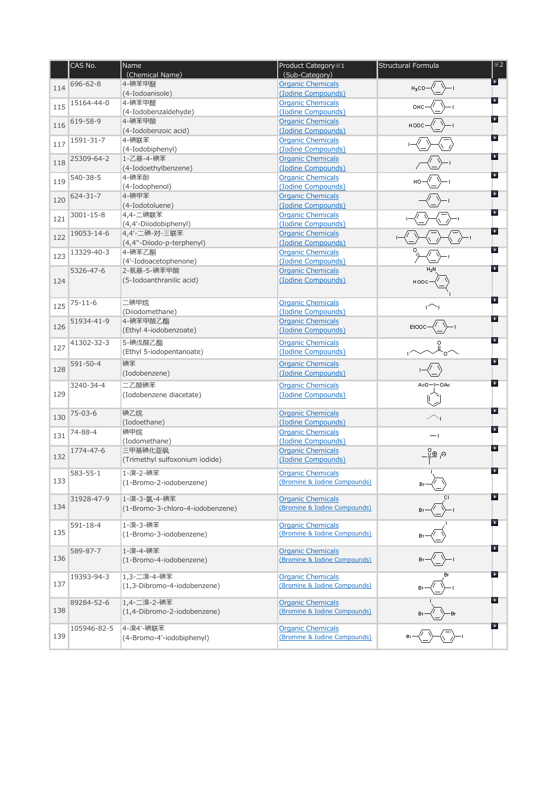|     | CAS No.       | Name<br>(Chemical Name)          | Product Category * 1<br>(Sub-Category)                   | Structural Formula                      | $\overline{\times 2}$ |
|-----|---------------|----------------------------------|----------------------------------------------------------|-----------------------------------------|-----------------------|
| 114 | 696-62-8      | 4-碘苯甲醚                           | <b>Organic Chemicals</b>                                 |                                         | A.                    |
|     |               | (4-Iodoanisole)                  | (Iodine Compounds)                                       |                                         | $\blacktriangleright$ |
| 115 | 15164-44-0    | 4-碘苯甲醛                           | <b>Organic Chemicals</b><br>(Iodine Compounds)           |                                         |                       |
|     | 619-58-9      | (4-Iodobenzaldehyde)<br>4-碘苯甲酸   | <b>Organic Chemicals</b>                                 |                                         | $\blacktriangleright$ |
| 116 |               | (4-Iodobenzoic acid)             | (Iodine Compounds)                                       |                                         |                       |
| 117 | 1591-31-7     | 4-碘联苯                            | <b>Organic Chemicals</b>                                 |                                         | $\blacktriangleright$ |
|     |               | (4-Iodobiphenyl)                 | (Iodine Compounds)                                       |                                         |                       |
| 118 | 25309-64-2    | 1-乙基-4-碘苯                        | <b>Organic Chemicals</b>                                 |                                         | $\blacktriangleright$ |
|     |               | (4-Iodoethylbenzene)<br>4-碘苯酚    | (Iodine Compounds)                                       |                                         | $\blacktriangleright$ |
| 119 | 540-38-5      | (4-Iodophenol)                   | <b>Organic Chemicals</b><br>(Iodine Compounds)           |                                         |                       |
|     | 624-31-7      | 4-碘甲苯                            | <b>Organic Chemicals</b>                                 |                                         | $\blacktriangleright$ |
| 120 |               | (4-Iodotoluene)                  | (Iodine Compounds)                                       |                                         |                       |
| 121 | 3001-15-8     | 4,4-二碘联苯                         | <b>Organic Chemicals</b>                                 |                                         | $\blacktriangleright$ |
|     |               | (4,4'-Diiodobiphenyl)            | (Iodine Compounds)                                       |                                         |                       |
| 122 | 19053-14-6    | 4,4'-二碘-对-三联苯                    | <b>Organic Chemicals</b>                                 |                                         | $\blacktriangleright$ |
|     |               | (4,4"-Diiodo-p-terphenyl)        | (Iodine Compounds)                                       |                                         | ×                     |
| 123 | 13329-40-3    | 4-碘苯乙酮<br>(4'-Iodoacetophenone)  | <b>Organic Chemicals</b><br>(Iodine Compounds)           |                                         |                       |
|     | 5326-47-6     | 2-氨基-5-碘苯甲酸                      | <b>Organic Chemicals</b>                                 |                                         | $\blacktriangleright$ |
| 124 |               | (5-Iodoanthranilic acid)         | (Iodine Compounds)                                       |                                         |                       |
|     |               |                                  |                                                          |                                         |                       |
|     | $75 - 11 - 6$ | 二碘甲烷                             | <b>Organic Chemicals</b>                                 |                                         |                       |
| 125 |               | (Diiodomethane)                  | (Iodine Compounds)                                       |                                         |                       |
|     | 51934-41-9    | 4-碘苯甲酸乙酯                         | <b>Organic Chemicals</b>                                 |                                         | $\blacktriangleright$ |
| 126 |               | (Ethyl 4-iodobenzoate)           | (Iodine Compounds)                                       |                                         |                       |
|     | 41302-32-3    | 5-碘戊酸乙酯                          | <b>Organic Chemicals</b>                                 |                                         | $\blacktriangleright$ |
| 127 |               | (Ethyl 5-iodopentanoate)         | (Iodine Compounds)                                       |                                         |                       |
|     | 591-50-4      | 碘苯                               | <b>Organic Chemicals</b>                                 |                                         | $\blacktriangleright$ |
| 128 |               | (Iodobenzene)                    | (Iodine Compounds)                                       |                                         |                       |
|     | 3240-34-4     | 二乙酸碘苯                            | <b>Organic Chemicals</b>                                 | $Ac0 = -0Ac$                            | $\blacktriangleleft$  |
| 129 |               | (Iodobenzene diacetate)          | (Iodine Compounds)                                       |                                         |                       |
|     |               |                                  |                                                          |                                         | $\blacktriangleright$ |
| 130 | $75 - 03 - 6$ | 碘乙烷                              | <b>Organic Chemicals</b><br>(Iodine Compounds)           |                                         |                       |
|     | 74-88-4       | (Iodoethane)<br>碘甲烷              | <b>Organic Chemicals</b>                                 |                                         |                       |
| 131 |               | (Iodomethane)                    | (Iodine Compounds)                                       | $-\mathbf{I}$                           |                       |
|     | 1774-47-6     | 三甲基碘化亚砜                          | <b>Organic Chemicals</b>                                 | $\ominus_1 \oplus_{{\mathbb{S}}^2-1}^0$ | $\blacktriangleright$ |
| 132 |               | (Trimethyl sulfoxonium iodide)   | (Iodine Compounds)                                       |                                         |                       |
|     | 583-55-1      | 1-溴-2-碘苯                         | <b>Organic Chemicals</b>                                 |                                         | $\blacktriangleright$ |
| 133 |               | (1-Bromo-2-iodobenzene)          | (Bromine & Iodine Compounds)                             |                                         |                       |
|     |               |                                  |                                                          |                                         | $\blacktriangleright$ |
| 134 | 31928-47-9    | 1-溴-3-氯-4-碘苯                     | <b>Organic Chemicals</b><br>(Bromine & Iodine Compounds) |                                         |                       |
|     |               | (1-Bromo-3-chloro-4-iodobenzene) |                                                          |                                         |                       |
|     | 591-18-4      | 1-溴-3-碘苯                         | <b>Organic Chemicals</b>                                 |                                         | $\blacktriangleright$ |
| 135 |               | (1-Bromo-3-iodobenzene)          | (Bromine & Iodine Compounds)                             |                                         |                       |
|     |               | 1-溴-4-碘苯                         | <b>Organic Chemicals</b>                                 |                                         | $\blacktriangleright$ |
| 136 | 589-87-7      | (1-Bromo-4-iodobenzene)          | (Bromine & Iodine Compounds)                             |                                         |                       |
|     |               |                                  |                                                          |                                         |                       |
|     | 19393-94-3    | 1,3-二溴-4-碘苯                      | <b>Organic Chemicals</b>                                 |                                         | $\blacktriangleright$ |
| 137 |               | (1,3-Dibromo-4-iodobenzene)      | (Bromine & Iodine Compounds)                             |                                         |                       |
|     | 89284-52-6    | 1,4-二溴-2-碘苯                      | <b>Organic Chemicals</b>                                 |                                         | $\blacktriangleright$ |
| 138 |               | (1,4-Dibromo-2-iodobenzene)      | (Bromine & Iodine Compounds)                             |                                         |                       |
|     |               |                                  |                                                          |                                         |                       |
| 139 | 105946-82-5   | 4-溴4'-碘联苯                        | <b>Organic Chemicals</b>                                 |                                         | $\blacktriangleright$ |
|     |               | (4-Bromo-4'-iodobiphenyl)        | (Bromine & Iodine Compounds)                             |                                         |                       |